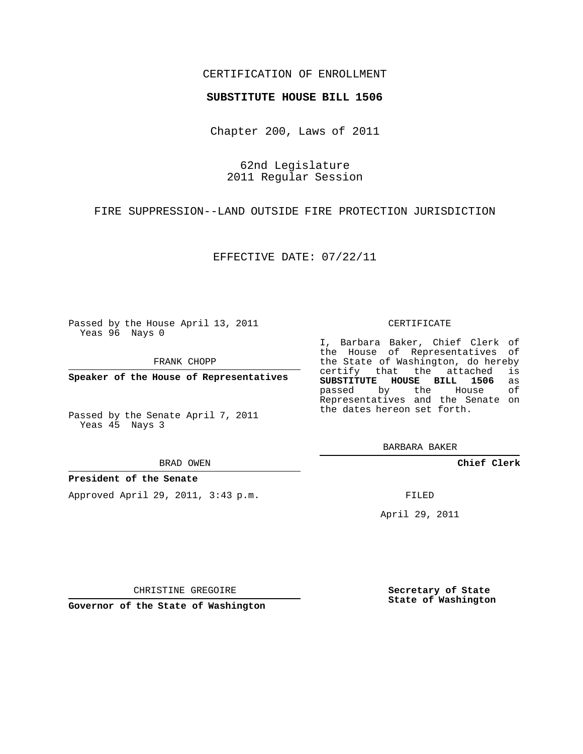## CERTIFICATION OF ENROLLMENT

### **SUBSTITUTE HOUSE BILL 1506**

Chapter 200, Laws of 2011

62nd Legislature 2011 Regular Session

FIRE SUPPRESSION--LAND OUTSIDE FIRE PROTECTION JURISDICTION

EFFECTIVE DATE: 07/22/11

Passed by the House April 13, 2011 Yeas 96 Nays 0

FRANK CHOPP

**Speaker of the House of Representatives**

Passed by the Senate April 7, 2011 Yeas 45 Nays 3

BRAD OWEN

### **President of the Senate**

Approved April 29, 2011, 3:43 p.m.

#### CERTIFICATE

I, Barbara Baker, Chief Clerk of the House of Representatives of the State of Washington, do hereby<br>certify that the attached is certify that the attached **SUBSTITUTE HOUSE BILL 1506** as passed by the Representatives and the Senate on the dates hereon set forth.

BARBARA BAKER

**Chief Clerk**

FILED

April 29, 2011

CHRISTINE GREGOIRE

**Governor of the State of Washington**

**Secretary of State State of Washington**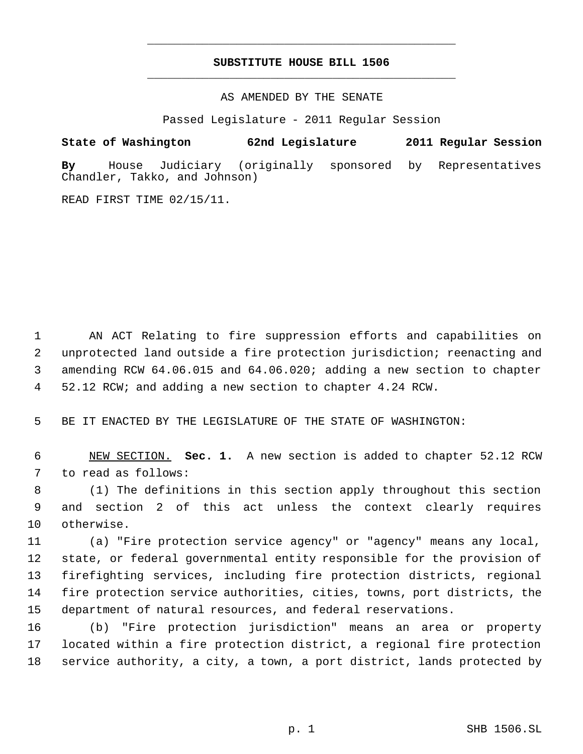# **SUBSTITUTE HOUSE BILL 1506** \_\_\_\_\_\_\_\_\_\_\_\_\_\_\_\_\_\_\_\_\_\_\_\_\_\_\_\_\_\_\_\_\_\_\_\_\_\_\_\_\_\_\_\_\_

\_\_\_\_\_\_\_\_\_\_\_\_\_\_\_\_\_\_\_\_\_\_\_\_\_\_\_\_\_\_\_\_\_\_\_\_\_\_\_\_\_\_\_\_\_

AS AMENDED BY THE SENATE

Passed Legislature - 2011 Regular Session

## **State of Washington 62nd Legislature 2011 Regular Session**

**By** House Judiciary (originally sponsored by Representatives Chandler, Takko, and Johnson)

READ FIRST TIME 02/15/11.

 AN ACT Relating to fire suppression efforts and capabilities on unprotected land outside a fire protection jurisdiction; reenacting and amending RCW 64.06.015 and 64.06.020; adding a new section to chapter 52.12 RCW; and adding a new section to chapter 4.24 RCW.

BE IT ENACTED BY THE LEGISLATURE OF THE STATE OF WASHINGTON:

 NEW SECTION. **Sec. 1.** A new section is added to chapter 52.12 RCW to read as follows:

 (1) The definitions in this section apply throughout this section and section 2 of this act unless the context clearly requires otherwise.

 (a) "Fire protection service agency" or "agency" means any local, state, or federal governmental entity responsible for the provision of firefighting services, including fire protection districts, regional fire protection service authorities, cities, towns, port districts, the department of natural resources, and federal reservations.

 (b) "Fire protection jurisdiction" means an area or property located within a fire protection district, a regional fire protection service authority, a city, a town, a port district, lands protected by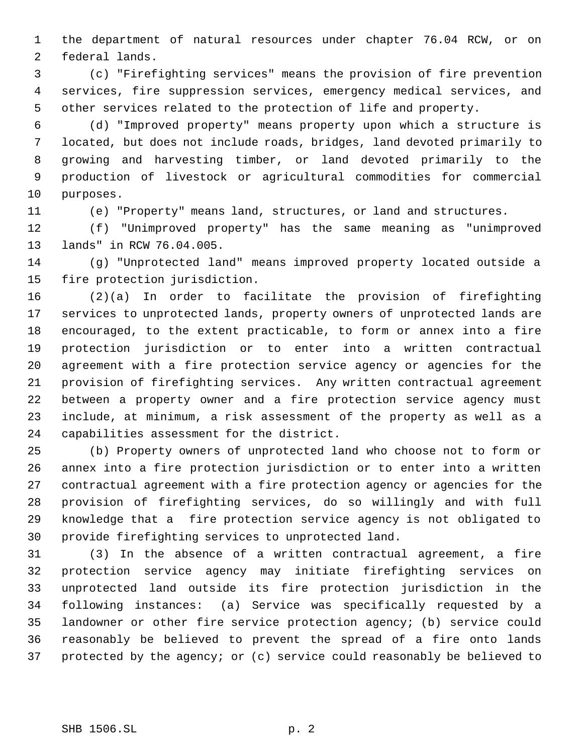the department of natural resources under chapter 76.04 RCW, or on federal lands.

 (c) "Firefighting services" means the provision of fire prevention services, fire suppression services, emergency medical services, and other services related to the protection of life and property.

 (d) "Improved property" means property upon which a structure is located, but does not include roads, bridges, land devoted primarily to growing and harvesting timber, or land devoted primarily to the production of livestock or agricultural commodities for commercial purposes.

(e) "Property" means land, structures, or land and structures.

 (f) "Unimproved property" has the same meaning as "unimproved lands" in RCW 76.04.005.

 (g) "Unprotected land" means improved property located outside a fire protection jurisdiction.

 (2)(a) In order to facilitate the provision of firefighting services to unprotected lands, property owners of unprotected lands are encouraged, to the extent practicable, to form or annex into a fire protection jurisdiction or to enter into a written contractual agreement with a fire protection service agency or agencies for the provision of firefighting services. Any written contractual agreement between a property owner and a fire protection service agency must include, at minimum, a risk assessment of the property as well as a capabilities assessment for the district.

 (b) Property owners of unprotected land who choose not to form or annex into a fire protection jurisdiction or to enter into a written contractual agreement with a fire protection agency or agencies for the provision of firefighting services, do so willingly and with full knowledge that a fire protection service agency is not obligated to provide firefighting services to unprotected land.

 (3) In the absence of a written contractual agreement, a fire protection service agency may initiate firefighting services on unprotected land outside its fire protection jurisdiction in the following instances: (a) Service was specifically requested by a landowner or other fire service protection agency; (b) service could reasonably be believed to prevent the spread of a fire onto lands protected by the agency; or (c) service could reasonably be believed to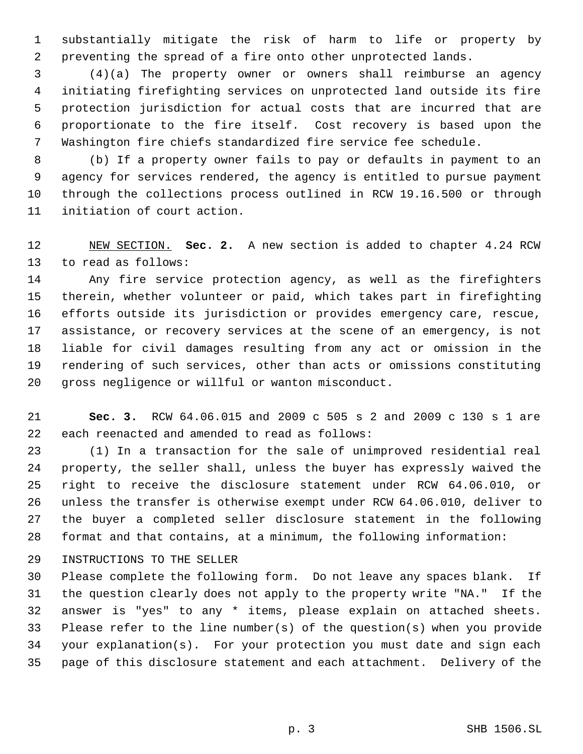substantially mitigate the risk of harm to life or property by preventing the spread of a fire onto other unprotected lands.

 (4)(a) The property owner or owners shall reimburse an agency initiating firefighting services on unprotected land outside its fire protection jurisdiction for actual costs that are incurred that are proportionate to the fire itself. Cost recovery is based upon the Washington fire chiefs standardized fire service fee schedule.

 (b) If a property owner fails to pay or defaults in payment to an agency for services rendered, the agency is entitled to pursue payment through the collections process outlined in RCW 19.16.500 or through initiation of court action.

 NEW SECTION. **Sec. 2.** A new section is added to chapter 4.24 RCW to read as follows:

 Any fire service protection agency, as well as the firefighters therein, whether volunteer or paid, which takes part in firefighting efforts outside its jurisdiction or provides emergency care, rescue, assistance, or recovery services at the scene of an emergency, is not liable for civil damages resulting from any act or omission in the rendering of such services, other than acts or omissions constituting gross negligence or willful or wanton misconduct.

 **Sec. 3.** RCW 64.06.015 and 2009 c 505 s 2 and 2009 c 130 s 1 are each reenacted and amended to read as follows:

 (1) In a transaction for the sale of unimproved residential real property, the seller shall, unless the buyer has expressly waived the right to receive the disclosure statement under RCW 64.06.010, or unless the transfer is otherwise exempt under RCW 64.06.010, deliver to the buyer a completed seller disclosure statement in the following format and that contains, at a minimum, the following information:

INSTRUCTIONS TO THE SELLER

 Please complete the following form. Do not leave any spaces blank. If the question clearly does not apply to the property write "NA." If the answer is "yes" to any \* items, please explain on attached sheets. Please refer to the line number(s) of the question(s) when you provide your explanation(s). For your protection you must date and sign each page of this disclosure statement and each attachment. Delivery of the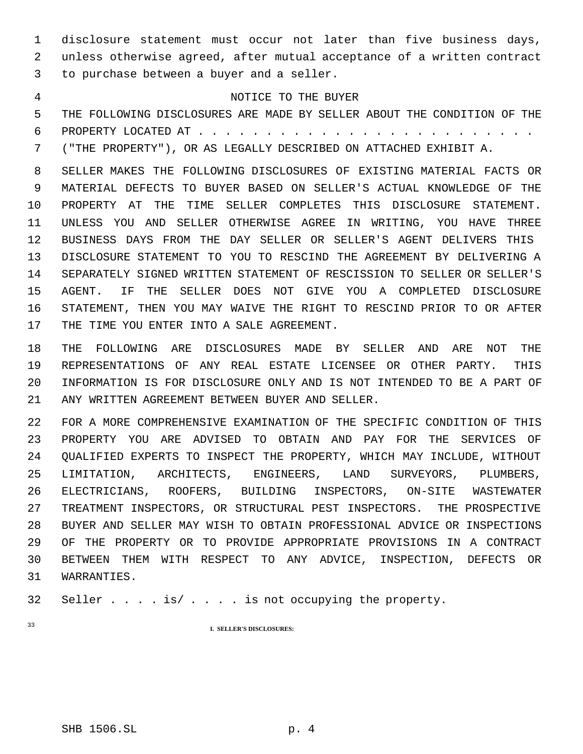disclosure statement must occur not later than five business days, unless otherwise agreed, after mutual acceptance of a written contract to purchase between a buyer and a seller.

### NOTICE TO THE BUYER

 THE FOLLOWING DISCLOSURES ARE MADE BY SELLER ABOUT THE CONDITION OF THE PROPERTY LOCATED AT . . . . . . . . . . . . . . . . . . . . . . . . .

("THE PROPERTY"), OR AS LEGALLY DESCRIBED ON ATTACHED EXHIBIT A.

 SELLER MAKES THE FOLLOWING DISCLOSURES OF EXISTING MATERIAL FACTS OR MATERIAL DEFECTS TO BUYER BASED ON SELLER'S ACTUAL KNOWLEDGE OF THE PROPERTY AT THE TIME SELLER COMPLETES THIS DISCLOSURE STATEMENT. UNLESS YOU AND SELLER OTHERWISE AGREE IN WRITING, YOU HAVE THREE BUSINESS DAYS FROM THE DAY SELLER OR SELLER'S AGENT DELIVERS THIS DISCLOSURE STATEMENT TO YOU TO RESCIND THE AGREEMENT BY DELIVERING A SEPARATELY SIGNED WRITTEN STATEMENT OF RESCISSION TO SELLER OR SELLER'S AGENT. IF THE SELLER DOES NOT GIVE YOU A COMPLETED DISCLOSURE STATEMENT, THEN YOU MAY WAIVE THE RIGHT TO RESCIND PRIOR TO OR AFTER THE TIME YOU ENTER INTO A SALE AGREEMENT.

 THE FOLLOWING ARE DISCLOSURES MADE BY SELLER AND ARE NOT THE REPRESENTATIONS OF ANY REAL ESTATE LICENSEE OR OTHER PARTY. THIS INFORMATION IS FOR DISCLOSURE ONLY AND IS NOT INTENDED TO BE A PART OF ANY WRITTEN AGREEMENT BETWEEN BUYER AND SELLER.

 FOR A MORE COMPREHENSIVE EXAMINATION OF THE SPECIFIC CONDITION OF THIS PROPERTY YOU ARE ADVISED TO OBTAIN AND PAY FOR THE SERVICES OF QUALIFIED EXPERTS TO INSPECT THE PROPERTY, WHICH MAY INCLUDE, WITHOUT LIMITATION, ARCHITECTS, ENGINEERS, LAND SURVEYORS, PLUMBERS, ELECTRICIANS, ROOFERS, BUILDING INSPECTORS, ON-SITE WASTEWATER TREATMENT INSPECTORS, OR STRUCTURAL PEST INSPECTORS. THE PROSPECTIVE BUYER AND SELLER MAY WISH TO OBTAIN PROFESSIONAL ADVICE OR INSPECTIONS OF THE PROPERTY OR TO PROVIDE APPROPRIATE PROVISIONS IN A CONTRACT BETWEEN THEM WITH RESPECT TO ANY ADVICE, INSPECTION, DEFECTS OR WARRANTIES.

Seller . . . . is/ . . . . is not occupying the property.

**I. SELLER'S DISCLOSURES:**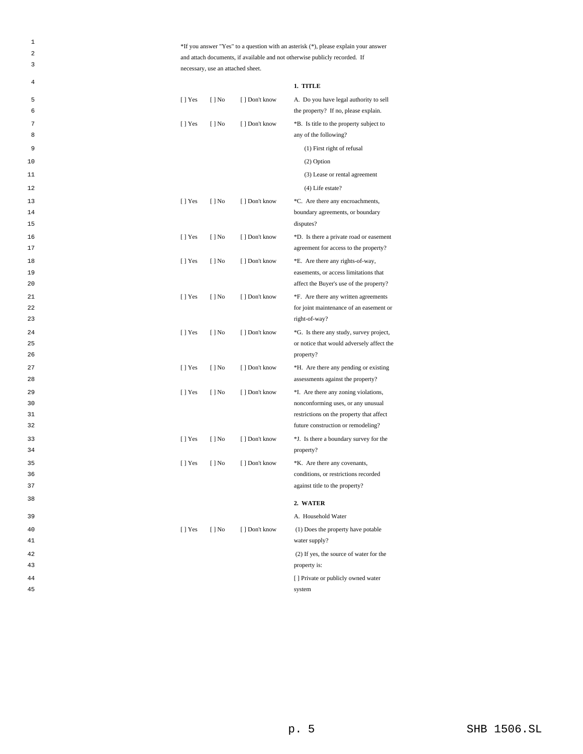| 1              |                                                                                                                                                                   |                                   |                |                                                                                   |  |  |  |  |
|----------------|-------------------------------------------------------------------------------------------------------------------------------------------------------------------|-----------------------------------|----------------|-----------------------------------------------------------------------------------|--|--|--|--|
| 2              | *If you answer "Yes" to a question with an asterisk (*), please explain your answer<br>and attach documents, if available and not otherwise publicly recorded. If |                                   |                |                                                                                   |  |  |  |  |
| 3              |                                                                                                                                                                   | necessary, use an attached sheet. |                |                                                                                   |  |  |  |  |
| 4              |                                                                                                                                                                   |                                   |                | 1. TITLE                                                                          |  |  |  |  |
| 5<br>6         | $[ ]$ Yes                                                                                                                                                         | $[ ]$ No                          | [ ] Don't know | A. Do you have legal authority to sell<br>the property? If no, please explain.    |  |  |  |  |
| 7<br>8         | $[ ]$ Yes                                                                                                                                                         | $[ ]$ No                          | [ ] Don't know | *B. Is title to the property subject to<br>any of the following?                  |  |  |  |  |
| 9              |                                                                                                                                                                   |                                   |                | (1) First right of refusal                                                        |  |  |  |  |
| 10             |                                                                                                                                                                   |                                   |                | (2) Option                                                                        |  |  |  |  |
| 11             |                                                                                                                                                                   |                                   |                | (3) Lease or rental agreement                                                     |  |  |  |  |
| 12             |                                                                                                                                                                   |                                   |                | $(4)$ Life estate?                                                                |  |  |  |  |
| 13<br>14<br>15 | $[ ]$ Yes                                                                                                                                                         | $[ ]$ No                          | [ ] Don't know | *C. Are there any encroachments,<br>boundary agreements, or boundary<br>disputes? |  |  |  |  |
| 16             | $[ ]$ Yes                                                                                                                                                         | $[ ]$ No                          | [ ] Don't know | *D. Is there a private road or easement                                           |  |  |  |  |
| 17             |                                                                                                                                                                   |                                   |                | agreement for access to the property?                                             |  |  |  |  |
| 18             | $[ ]$ Yes                                                                                                                                                         | $[ ]$ No                          | [ ] Don't know | *E. Are there any rights-of-way,                                                  |  |  |  |  |
| 19             |                                                                                                                                                                   |                                   |                | easements, or access limitations that                                             |  |  |  |  |
| 20             |                                                                                                                                                                   |                                   |                | affect the Buyer's use of the property?                                           |  |  |  |  |
| 21             | $[ ]$ Yes                                                                                                                                                         | $[ ]$ No                          | [ ] Don't know | *F. Are there any written agreements                                              |  |  |  |  |
| 22             |                                                                                                                                                                   |                                   |                | for joint maintenance of an easement or                                           |  |  |  |  |
| 23             |                                                                                                                                                                   |                                   |                | right-of-way?                                                                     |  |  |  |  |
| 24             | $[ ]$ Yes                                                                                                                                                         | $[ ]$ No                          | [ ] Don't know | *G. Is there any study, survey project,                                           |  |  |  |  |
| 25<br>26       |                                                                                                                                                                   |                                   |                | or notice that would adversely affect the<br>property?                            |  |  |  |  |
| 27             | $[$   Yes                                                                                                                                                         | $[ ]$ No                          | [ ] Don't know | *H. Are there any pending or existing                                             |  |  |  |  |
| 28             |                                                                                                                                                                   |                                   |                | assessments against the property?                                                 |  |  |  |  |
| 29             | $[ ]$ Yes                                                                                                                                                         | $[ ]$ No                          | [ ] Don't know | *I. Are there any zoning violations,                                              |  |  |  |  |
| 30             |                                                                                                                                                                   |                                   |                | nonconforming uses, or any unusual                                                |  |  |  |  |
| 31             |                                                                                                                                                                   |                                   |                | restrictions on the property that affect                                          |  |  |  |  |
| 32             |                                                                                                                                                                   |                                   |                | future construction or remodeling?                                                |  |  |  |  |
| 33             | $\lceil$   Yes                                                                                                                                                    | $\lceil \cdot \rceil$ No          | [ ] Don't know | *J. Is there a boundary survey for the                                            |  |  |  |  |
| 34             |                                                                                                                                                                   |                                   |                | property?                                                                         |  |  |  |  |
| 35             | $\left[ \ \right]$ Yes                                                                                                                                            | $[ ]$ No                          | [ ] Don't know | *K. Are there any covenants,                                                      |  |  |  |  |
| 36<br>37       |                                                                                                                                                                   |                                   |                | conditions, or restrictions recorded<br>against title to the property?            |  |  |  |  |
| 38             |                                                                                                                                                                   |                                   |                |                                                                                   |  |  |  |  |
|                |                                                                                                                                                                   |                                   |                | 2. WATER                                                                          |  |  |  |  |
| 39             |                                                                                                                                                                   |                                   |                | A. Household Water                                                                |  |  |  |  |
| 40             | $[ ]$ Yes                                                                                                                                                         | $[ ]$ No                          | [ ] Don't know | (1) Does the property have potable                                                |  |  |  |  |
| 41             |                                                                                                                                                                   |                                   |                | water supply?                                                                     |  |  |  |  |
| 42<br>43       |                                                                                                                                                                   |                                   |                | (2) If yes, the source of water for the<br>property is:                           |  |  |  |  |
|                |                                                                                                                                                                   |                                   |                | [] Private or publicly owned water                                                |  |  |  |  |
| 44<br>45       |                                                                                                                                                                   |                                   |                | system                                                                            |  |  |  |  |
|                |                                                                                                                                                                   |                                   |                |                                                                                   |  |  |  |  |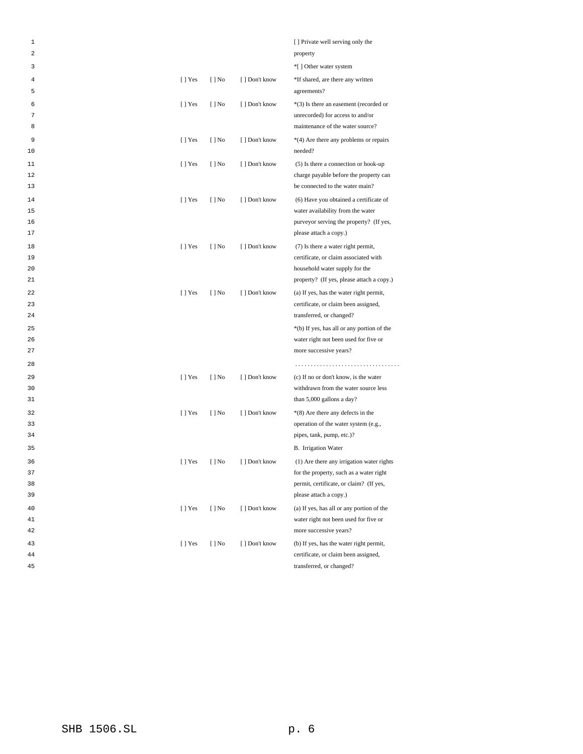| 1        |           |                          |                | [] Private well serving only the                                            |
|----------|-----------|--------------------------|----------------|-----------------------------------------------------------------------------|
| 2        |           |                          |                | property                                                                    |
| 3        |           |                          |                | *[] Other water system                                                      |
| 4<br>5   | $[ ]$ Yes | $[ ]$ No                 | [ ] Don't know | *If shared, are there any written<br>agreements?                            |
| 6        | $[ ]$ Yes | $[ ]$ No                 | [ ] Don't know | *(3) Is there an easement (recorded or                                      |
| 7        |           |                          |                | unrecorded) for access to and/or                                            |
| 8        |           |                          |                | maintenance of the water source?                                            |
| 9<br>10  | $[ ]$ Yes | $[ ]$ No                 | [ ] Don't know | *(4) Are there any problems or repairs<br>needed?                           |
|          |           |                          |                |                                                                             |
| 11       | $[ ]$ Yes | $[ ]$ No                 | [ ] Don't know | (5) Is there a connection or hook-up                                        |
| 12<br>13 |           |                          |                | charge payable before the property can<br>be connected to the water main?   |
| 14       | $[ ]$ Yes | $[ ]$ No                 | [ ] Don't know | (6) Have you obtained a certificate of                                      |
| 15       |           |                          |                | water availability from the water                                           |
| 16       |           |                          |                | purveyor serving the property? (If yes,                                     |
| 17       |           |                          |                | please attach a copy.)                                                      |
| 18       | $[ ]$ Yes | $\lceil \cdot \rceil$ No | [ ] Don't know | (7) Is there a water right permit,                                          |
| 19       |           |                          |                | certificate, or claim associated with                                       |
| 20       |           |                          |                | household water supply for the                                              |
| 21       |           |                          |                | property? (If yes, please attach a copy.)                                   |
| 22       | $[ ]$ Yes | $[ ]$ No                 | [ ] Don't know | (a) If yes, has the water right permit,                                     |
| 23       |           |                          |                | certificate, or claim been assigned,                                        |
| 24       |           |                          |                | transferred, or changed?                                                    |
| 25       |           |                          |                | *(b) If yes, has all or any portion of the                                  |
| 26<br>27 |           |                          |                | water right not been used for five or<br>more successive years?             |
|          |           |                          |                |                                                                             |
| 28       |           |                          |                |                                                                             |
| 29       | $[ ]$ Yes | $[$   No                 | [ ] Don't know | (c) If no or don't know, is the water                                       |
| 30<br>31 |           |                          |                | withdrawn from the water source less<br>than 5,000 gallons a day?           |
|          |           |                          |                |                                                                             |
| 32<br>33 | $[ ]$ Yes | $[$   No                 | [ ] Don't know | $*(8)$ Are there any defects in the<br>operation of the water system (e.g., |
| 34       |           |                          |                | pipes, tank, pump, etc.)?                                                   |
| 35       |           |                          |                | <b>B.</b> Irrigation Water                                                  |
| 36       | [ ] Yes   | [ ] No                   | [ ] Don't know | (1) Are there any irrigation water rights                                   |
| 37       |           |                          |                | for the property, such as a water right                                     |
| 38       |           |                          |                | permit, certificate, or claim? (If yes,                                     |
| 39       |           |                          |                | please attach a copy.)                                                      |
| 40       | $[$   Yes | $[ ]$ No                 | [ ] Don't know | (a) If yes, has all or any portion of the                                   |
| 41       |           |                          |                | water right not been used for five or                                       |
| 42       |           |                          |                | more successive years?                                                      |
| 43       | $[ ]$ Yes | $[ ]$ No                 | [ ] Don't know | (b) If yes, has the water right permit,                                     |
| 44       |           |                          |                | certificate, or claim been assigned,                                        |
| 45       |           |                          |                | transferred, or changed?                                                    |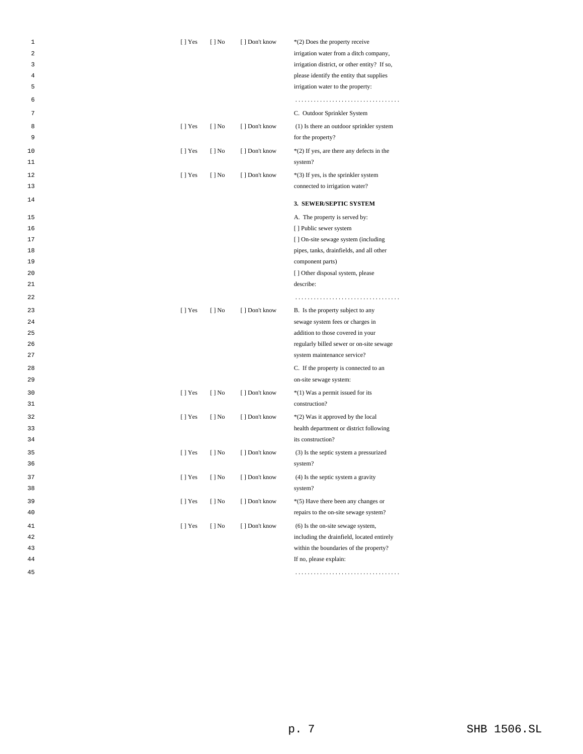| 1<br>2<br>3<br>4<br>5<br>6<br>7 | [] Yes  | $[$   No | [ ] Don't know | *(2) Does the property receive<br>irrigation water from a ditch company,<br>irrigation district, or other entity? If so,<br>please identify the entity that supplies<br>irrigation water to the property:<br>C. Outdoor Sprinkler System |
|---------------------------------|---------|----------|----------------|------------------------------------------------------------------------------------------------------------------------------------------------------------------------------------------------------------------------------------------|
| 8<br>9                          | [] Yes  | $[ ]$ No | [ ] Don't know | (1) Is there an outdoor sprinkler system<br>for the property?                                                                                                                                                                            |
| 10<br>11                        | [ ] Yes | $[$   No | [ ] Don't know | $*(2)$ If yes, are there any defects in the<br>system?                                                                                                                                                                                   |
| 12<br>13                        | [] Yes  | $[ ]$ No | [ ] Don't know | *(3) If yes, is the sprinkler system<br>connected to irrigation water?                                                                                                                                                                   |
| 14                              |         |          |                | 3. SEWER/SEPTIC SYSTEM                                                                                                                                                                                                                   |
| 15<br>16                        |         |          |                | A. The property is served by:<br>[] Public sewer system                                                                                                                                                                                  |
| 17                              |         |          |                | [] On-site sewage system (including                                                                                                                                                                                                      |
| 18<br>19                        |         |          |                | pipes, tanks, drainfields, and all other<br>component parts)                                                                                                                                                                             |
| 20<br>21                        |         |          |                | [] Other disposal system, please<br>describe:                                                                                                                                                                                            |
| 22                              |         |          |                |                                                                                                                                                                                                                                          |
| 23<br>24                        | [] Yes  | $[ ]$ No | [ ] Don't know | B. Is the property subject to any<br>sewage system fees or charges in                                                                                                                                                                    |
| 25<br>26                        |         |          |                | addition to those covered in your<br>regularly billed sewer or on-site sewage                                                                                                                                                            |
| 27<br>28                        |         |          |                | system maintenance service?<br>C. If the property is connected to an                                                                                                                                                                     |
| 29                              |         |          |                | on-site sewage system:                                                                                                                                                                                                                   |
| 30<br>31                        | [] Yes  | $[ ]$ No | [ ] Don't know | *(1) Was a permit issued for its<br>construction?                                                                                                                                                                                        |
| 32<br>33<br>34                  | [] Yes  | $[ ]$ No | [ ] Don't know | *(2) Was it approved by the local<br>health department or district following<br>its construction?                                                                                                                                        |
| 35<br>36                        | [] Yes  | $[$   No | [ ] Don't know | (3) Is the septic system a pressurized<br>system?                                                                                                                                                                                        |
| 37<br>38                        | [] Yes  | $[ ]$ No | [ ] Don't know | (4) Is the septic system a gravity<br>system?                                                                                                                                                                                            |
| 39<br>40                        | [] Yes  | $[ ]$ No | [ ] Don't know | *(5) Have there been any changes or<br>repairs to the on-site sewage system?                                                                                                                                                             |
| 41<br>42<br>43<br>44            | [] Yes  | $[ ]$ No | [ ] Don't know | (6) Is the on-site sewage system,<br>including the drainfield, located entirely<br>within the boundaries of the property?<br>If no, please explain:                                                                                      |
| 45                              |         |          |                |                                                                                                                                                                                                                                          |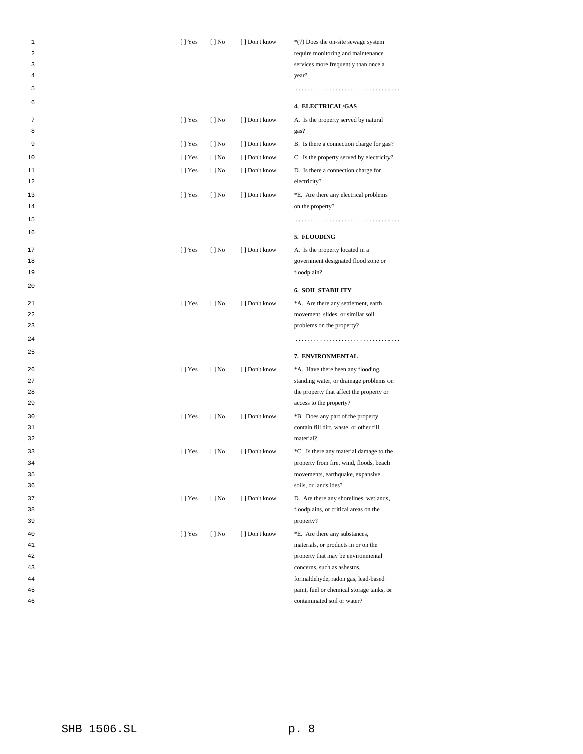| 1<br>2<br>3 | $[ ]$ Yes | $[ ]$ No | [ ] Don't know | *(7) Does the on-site sewage system<br>require monitoring and maintenance<br>services more frequently than once a |
|-------------|-----------|----------|----------------|-------------------------------------------------------------------------------------------------------------------|
| 4           |           |          |                | year?                                                                                                             |
| 5           |           |          |                |                                                                                                                   |
| 6           |           |          |                |                                                                                                                   |
|             |           |          |                | 4. ELECTRICAL/GAS                                                                                                 |
| 7<br>8      | $[ ]$ Yes | $[ ]$ No | [ ] Don't know | A. Is the property served by natural<br>gas?                                                                      |
| 9           | $[ ]$ Yes | $[ ]$ No | [ ] Don't know | B. Is there a connection charge for gas?                                                                          |
| 10          | $[ ]$ Yes | $[ ]$ No | [ ] Don't know | C. Is the property served by electricity?                                                                         |
| 11          | $[ ]$ Yes | $[ ]$ No | [ ] Don't know | D. Is there a connection charge for                                                                               |
| 12          |           |          |                | electricity?                                                                                                      |
| 13<br>14    | $[ ]$ Yes | $[ ]$ No | [ ] Don't know | *E. Are there any electrical problems<br>on the property?                                                         |
| 15          |           |          |                |                                                                                                                   |
| 16          |           |          |                | 5. FLOODING                                                                                                       |
| 17          | $[ ]$ Yes | $[ ]$ No | [ ] Don't know | A. Is the property located in a                                                                                   |
| 18          |           |          |                | government designated flood zone or                                                                               |
| 19          |           |          |                | floodplain?                                                                                                       |
| 20          |           |          |                | <b>6. SOIL STABILITY</b>                                                                                          |
| 21          | $[$   Yes | $[ ]$ No | [ ] Don't know | *A. Are there any settlement, earth                                                                               |
| 22          |           |          |                | movement, slides, or similar soil                                                                                 |
| 23          |           |          |                | problems on the property?                                                                                         |
| 24          |           |          |                |                                                                                                                   |
| 25          |           |          |                | 7. ENVIRONMENTAL                                                                                                  |
| 26          | $[ ]$ Yes | $[$   No | [ ] Don't know | *A. Have there been any flooding,                                                                                 |
| 27          |           |          |                | standing water, or drainage problems on                                                                           |
| 28<br>29    |           |          |                | the property that affect the property or<br>access to the property?                                               |
| 30          | $[ ]$ Yes | $[ ]$ No | [ ] Don't know | *B. Does any part of the property                                                                                 |
| 31          |           |          |                | contain fill dirt, waste, or other fill                                                                           |
| 32          |           |          |                | material?                                                                                                         |
| 33          | [] Yes    | $[ ]$ No | [ ] Don't know | *C. Is there any material damage to the                                                                           |
| 34          |           |          |                | property from fire, wind, floods, beach                                                                           |
| 35          |           |          |                | movements, earthquake, expansive                                                                                  |
| 36          |           |          |                | soils, or landslides?                                                                                             |
| 37          | [] Yes    | $[ ]$ No | [ ] Don't know | D. Are there any shorelines, wetlands,                                                                            |
| 38<br>39    |           |          |                | floodplains, or critical areas on the<br>property?                                                                |
| 40          | $[ ]$ Yes | $[ ]$ No | [ ] Don't know | *E. Are there any substances,                                                                                     |
| 41          |           |          |                | materials, or products in or on the                                                                               |
| 42          |           |          |                | property that may be environmental                                                                                |
| 43          |           |          |                | concerns, such as asbestos,                                                                                       |
| 44          |           |          |                | formaldehyde, radon gas, lead-based                                                                               |
| 45          |           |          |                | paint, fuel or chemical storage tanks, or                                                                         |
| 46          |           |          |                | contaminated soil or water?                                                                                       |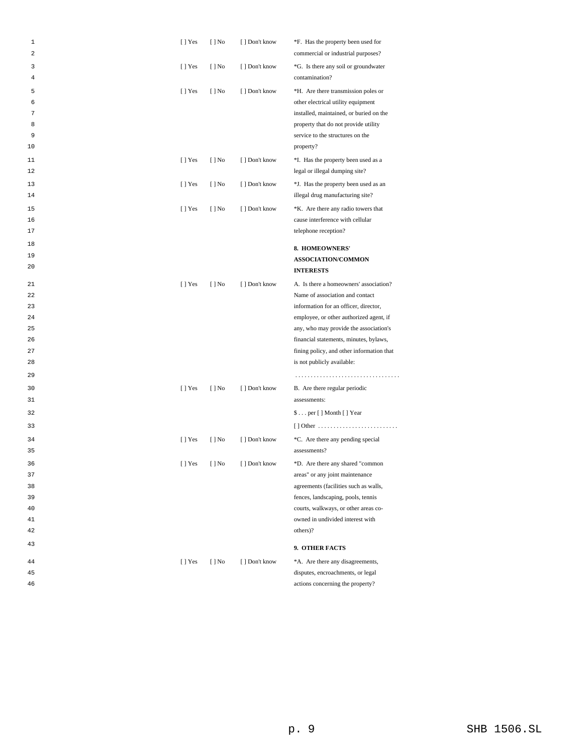| 1<br>2                                 | [ ] Yes   | $[ ]$ No                 | [ ] Don't know | *F. Has the property been used for<br>commercial or industrial purposes?                                                                                                                                                                   |
|----------------------------------------|-----------|--------------------------|----------------|--------------------------------------------------------------------------------------------------------------------------------------------------------------------------------------------------------------------------------------------|
| 3<br>4                                 | [] Yes    | $\lceil$ ] No            | [] Don't know  | *G. Is there any soil or groundwater<br>contamination?                                                                                                                                                                                     |
| 5<br>6<br>7<br>8<br>9<br>10            | [] Yes    | $\lceil \cdot \rceil$ No | [ ] Don't know | *H. Are there transmission poles or<br>other electrical utility equipment<br>installed, maintained, or buried on the<br>property that do not provide utility<br>service to the structures on the<br>property?                              |
| 11<br>12                               | [] Yes    | $[ ]$ No                 | [ ] Don't know | *I. Has the property been used as a<br>legal or illegal dumping site?                                                                                                                                                                      |
| 13<br>14                               | $[ ]$ Yes | $[ ]$ No                 | [ ] Don't know | *J. Has the property been used as an<br>illegal drug manufacturing site?                                                                                                                                                                   |
| 15<br>16<br>17                         | [] Yes    | $[ ]$ No                 | [ ] Don't know | *K. Are there any radio towers that<br>cause interference with cellular<br>telephone reception?                                                                                                                                            |
| 18<br>19<br>20                         |           |                          |                | 8. HOMEOWNERS'<br><b>ASSOCIATION/COMMON</b><br><b>INTERESTS</b>                                                                                                                                                                            |
| 21<br>22<br>23<br>24                   | [] Yes    | $[ ]$ No                 | [ ] Don't know | A. Is there a homeowners' association?<br>Name of association and contact<br>information for an officer, director,<br>employee, or other authorized agent, if                                                                              |
| 25<br>26<br>27<br>28<br>29             |           |                          |                | any, who may provide the association's<br>financial statements, minutes, bylaws,<br>fining policy, and other information that<br>is not publicly available:                                                                                |
| 30<br>31<br>32                         | [] Yes    | $[ ]$ No                 | [ ] Don't know | B. Are there regular periodic<br>assessments:<br>\$per [] Month [] Year                                                                                                                                                                    |
| 33<br>34<br>35                         | [] Yes    | $\lceil \cdot \rceil$ No | [ ] Don't know | $[ ]$ Other<br>*C. Are there any pending special<br>assessments?                                                                                                                                                                           |
| 36<br>37<br>38<br>39<br>40<br>41<br>42 | [ ] Yes   | $[ ]$ No                 | [ ] Don't know | *D. Are there any shared "common<br>areas" or any joint maintenance<br>agreements (facilities such as walls,<br>fences, landscaping, pools, tennis<br>courts, walkways, or other areas co-<br>owned in undivided interest with<br>others)? |
| 43                                     |           |                          |                | 9. OTHER FACTS                                                                                                                                                                                                                             |
| 44<br>45<br>46                         | $[ ]$ Yes | $[ ]$ No                 | [ ] Don't know | *A. Are there any disagreements,<br>disputes, encroachments, or legal<br>actions concerning the property?                                                                                                                                  |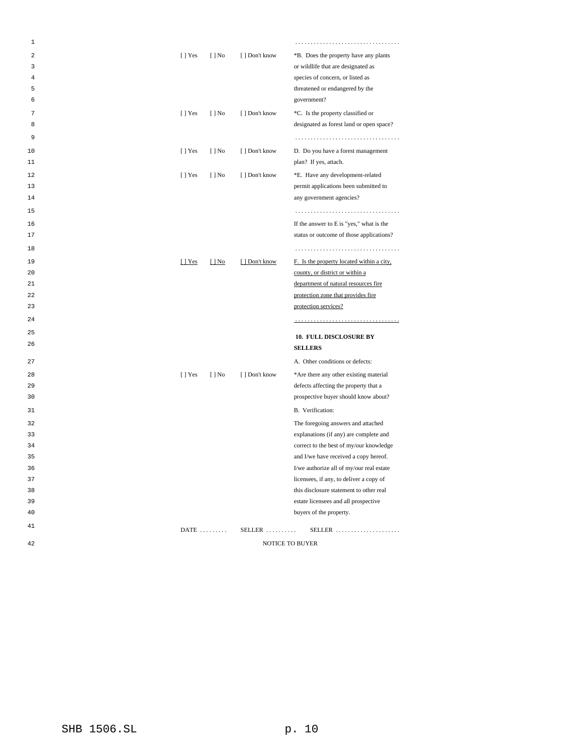| 1  |                |           |                |                                           |
|----|----------------|-----------|----------------|-------------------------------------------|
| 2  | $[$   Yes      | $[$   No  | [ ] Don't know | *B. Does the property have any plants     |
| 3  |                |           |                | or wildlife that are designated as        |
| 4  |                |           |                | species of concern, or listed as          |
| 5  |                |           |                | threatened or endangered by the           |
| 6  |                |           |                | government?                               |
| 7  | $[$ ] Yes      | $[$   No  | [ ] Don't know | *C. Is the property classified or         |
| 8  |                |           |                | designated as forest land or open space?  |
| 9  |                |           |                |                                           |
| 10 | $\lceil$   Yes | $[$   No  | [ ] Don't know | D. Do you have a forest management        |
| 11 |                |           |                | plan? If yes, attach.                     |
| 12 | $\lceil$   Yes | $[$   No  | [ ] Don't know | *E. Have any development-related          |
| 13 |                |           |                | permit applications been submitted to     |
| 14 |                |           |                | any government agencies?                  |
| 15 |                |           |                |                                           |
| 16 |                |           |                | If the answer to E is "yes," what is the  |
| 17 |                |           |                | status or outcome of those applications?  |
| 18 |                |           |                |                                           |
| 19 | $\Box$ Yes     | $\Box$ No | [] Don't know  | F. Is the property located within a city, |
| 20 |                |           |                | county, or district or within a           |
| 21 |                |           |                | department of natural resources fire      |
| 22 |                |           |                | protection zone that provides fire        |
| 23 |                |           |                | protection services?                      |
| 24 |                |           |                |                                           |
| 25 |                |           |                | <b>10. FULL DISCLOSURE BY</b>             |
| 26 |                |           |                | <b>SELLERS</b>                            |
| 27 |                |           |                | A. Other conditions or defects:           |
| 28 | $[ ]$ Yes      | $[ ]$ No  | [ ] Don't know | *Are there any other existing material    |
| 29 |                |           |                | defects affecting the property that a     |
| 30 |                |           |                | prospective buyer should know about?      |
| 31 |                |           |                | B. Verification:                          |
| 32 |                |           |                | The foregoing answers and attached        |
| 33 |                |           |                | explanations (if any) are complete and    |
| 34 |                |           |                | correct to the best of my/our knowledge   |
| 35 |                |           |                | and I/we have received a copy hereof.     |
| 36 |                |           |                | I/we authorize all of my/our real estate  |
| 37 |                |           |                | licensees, if any, to deliver a copy of   |
| 38 |                |           |                | this disclosure statement to other real   |
| 39 |                |           |                | estate licensees and all prospective      |
| 40 |                |           |                | buyers of the property.                   |
| 41 |                | $DATE$    | SELLER         | $SELECT R$                                |
| 42 |                |           |                | <b>NOTICE TO BUYER</b>                    |
|    |                |           |                |                                           |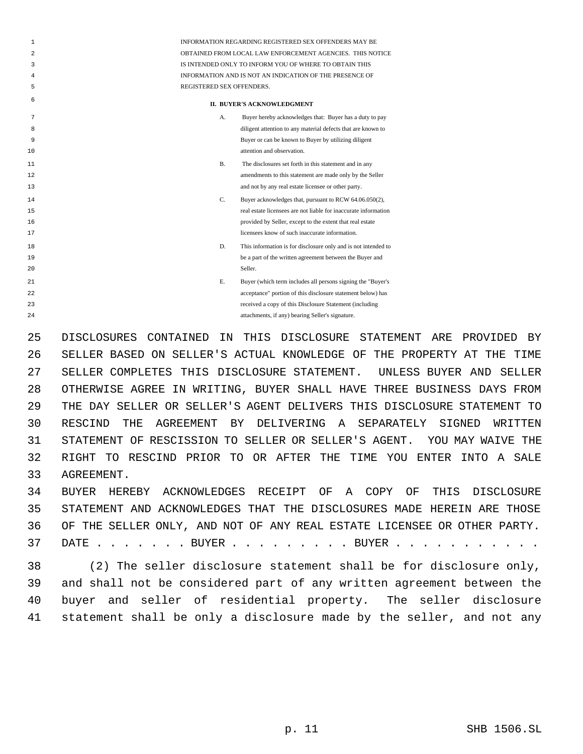|                                                           | INFORMATION REGARDING REGISTERED SEX OFFENDERS MAY BE           |  |  |  |  |  |
|-----------------------------------------------------------|-----------------------------------------------------------------|--|--|--|--|--|
| OBTAINED FROM LOCAL LAW ENFORCEMENT AGENCIES. THIS NOTICE |                                                                 |  |  |  |  |  |
| IS INTENDED ONLY TO INFORM YOU OF WHERE TO OBTAIN THIS    |                                                                 |  |  |  |  |  |
|                                                           | INFORMATION AND IS NOT AN INDICATION OF THE PRESENCE OF         |  |  |  |  |  |
| REGISTERED SEX OFFENDERS.                                 |                                                                 |  |  |  |  |  |
| <b>II. BUYER'S ACKNOWLEDGMENT</b>                         |                                                                 |  |  |  |  |  |
| A.                                                        | Buyer hereby acknowledges that: Buyer has a duty to pay         |  |  |  |  |  |
|                                                           | diligent attention to any material defects that are known to    |  |  |  |  |  |
|                                                           | Buyer or can be known to Buyer by utilizing diligent            |  |  |  |  |  |
|                                                           | attention and observation.                                      |  |  |  |  |  |
| <b>B.</b>                                                 | The disclosures set forth in this statement and in any          |  |  |  |  |  |
|                                                           | amendments to this statement are made only by the Seller        |  |  |  |  |  |
|                                                           | and not by any real estate licensee or other party.             |  |  |  |  |  |
| C.                                                        | Buyer acknowledges that, pursuant to RCW 64.06.050(2),          |  |  |  |  |  |
|                                                           | real estate licensees are not liable for inaccurate information |  |  |  |  |  |
|                                                           | provided by Seller, except to the extent that real estate       |  |  |  |  |  |
|                                                           | licensees know of such inaccurate information.                  |  |  |  |  |  |
| D.                                                        | This information is for disclosure only and is not intended to  |  |  |  |  |  |
|                                                           | be a part of the written agreement between the Buyer and        |  |  |  |  |  |
|                                                           | Seller.                                                         |  |  |  |  |  |
| E.                                                        | Buyer (which term includes all persons signing the "Buyer's     |  |  |  |  |  |
|                                                           | acceptance" portion of this disclosure statement below) has     |  |  |  |  |  |
|                                                           | received a copy of this Disclosure Statement (including         |  |  |  |  |  |
|                                                           | attachments, if any) bearing Seller's signature.                |  |  |  |  |  |
|                                                           |                                                                 |  |  |  |  |  |

 DISCLOSURES CONTAINED IN THIS DISCLOSURE STATEMENT ARE PROVIDED BY SELLER BASED ON SELLER'S ACTUAL KNOWLEDGE OF THE PROPERTY AT THE TIME SELLER COMPLETES THIS DISCLOSURE STATEMENT. UNLESS BUYER AND SELLER OTHERWISE AGREE IN WRITING, BUYER SHALL HAVE THREE BUSINESS DAYS FROM THE DAY SELLER OR SELLER'S AGENT DELIVERS THIS DISCLOSURE STATEMENT TO RESCIND THE AGREEMENT BY DELIVERING A SEPARATELY SIGNED WRITTEN STATEMENT OF RESCISSION TO SELLER OR SELLER'S AGENT. YOU MAY WAIVE THE RIGHT TO RESCIND PRIOR TO OR AFTER THE TIME YOU ENTER INTO A SALE AGREEMENT.

 BUYER HEREBY ACKNOWLEDGES RECEIPT OF A COPY OF THIS DISCLOSURE STATEMENT AND ACKNOWLEDGES THAT THE DISCLOSURES MADE HEREIN ARE THOSE OF THE SELLER ONLY, AND NOT OF ANY REAL ESTATE LICENSEE OR OTHER PARTY. DATE . . . . . . . BUYER . . . . . . . . . BUYER . . . . . . . . . . .

 (2) The seller disclosure statement shall be for disclosure only, and shall not be considered part of any written agreement between the buyer and seller of residential property. The seller disclosure statement shall be only a disclosure made by the seller, and not any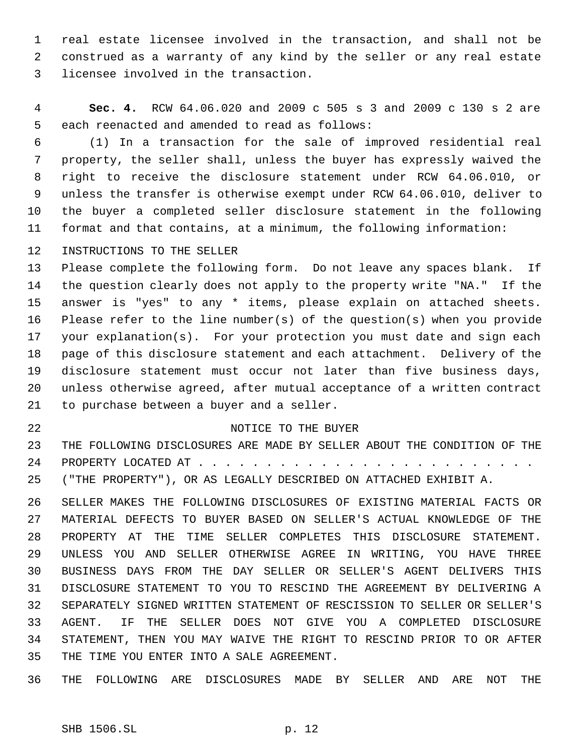real estate licensee involved in the transaction, and shall not be construed as a warranty of any kind by the seller or any real estate licensee involved in the transaction.

 **Sec. 4.** RCW 64.06.020 and 2009 c 505 s 3 and 2009 c 130 s 2 are each reenacted and amended to read as follows:

 (1) In a transaction for the sale of improved residential real property, the seller shall, unless the buyer has expressly waived the right to receive the disclosure statement under RCW 64.06.010, or unless the transfer is otherwise exempt under RCW 64.06.010, deliver to the buyer a completed seller disclosure statement in the following format and that contains, at a minimum, the following information:

INSTRUCTIONS TO THE SELLER

 Please complete the following form. Do not leave any spaces blank. If the question clearly does not apply to the property write "NA." If the answer is "yes" to any \* items, please explain on attached sheets. Please refer to the line number(s) of the question(s) when you provide your explanation(s). For your protection you must date and sign each page of this disclosure statement and each attachment. Delivery of the disclosure statement must occur not later than five business days, unless otherwise agreed, after mutual acceptance of a written contract to purchase between a buyer and a seller.

## NOTICE TO THE BUYER

 THE FOLLOWING DISCLOSURES ARE MADE BY SELLER ABOUT THE CONDITION OF THE PROPERTY LOCATED AT . . . . . . . . . . . . . . . . . . . . . . . . . ("THE PROPERTY"), OR AS LEGALLY DESCRIBED ON ATTACHED EXHIBIT A.

 SELLER MAKES THE FOLLOWING DISCLOSURES OF EXISTING MATERIAL FACTS OR MATERIAL DEFECTS TO BUYER BASED ON SELLER'S ACTUAL KNOWLEDGE OF THE PROPERTY AT THE TIME SELLER COMPLETES THIS DISCLOSURE STATEMENT. UNLESS YOU AND SELLER OTHERWISE AGREE IN WRITING, YOU HAVE THREE BUSINESS DAYS FROM THE DAY SELLER OR SELLER'S AGENT DELIVERS THIS DISCLOSURE STATEMENT TO YOU TO RESCIND THE AGREEMENT BY DELIVERING A SEPARATELY SIGNED WRITTEN STATEMENT OF RESCISSION TO SELLER OR SELLER'S AGENT. IF THE SELLER DOES NOT GIVE YOU A COMPLETED DISCLOSURE STATEMENT, THEN YOU MAY WAIVE THE RIGHT TO RESCIND PRIOR TO OR AFTER THE TIME YOU ENTER INTO A SALE AGREEMENT.

THE FOLLOWING ARE DISCLOSURES MADE BY SELLER AND ARE NOT THE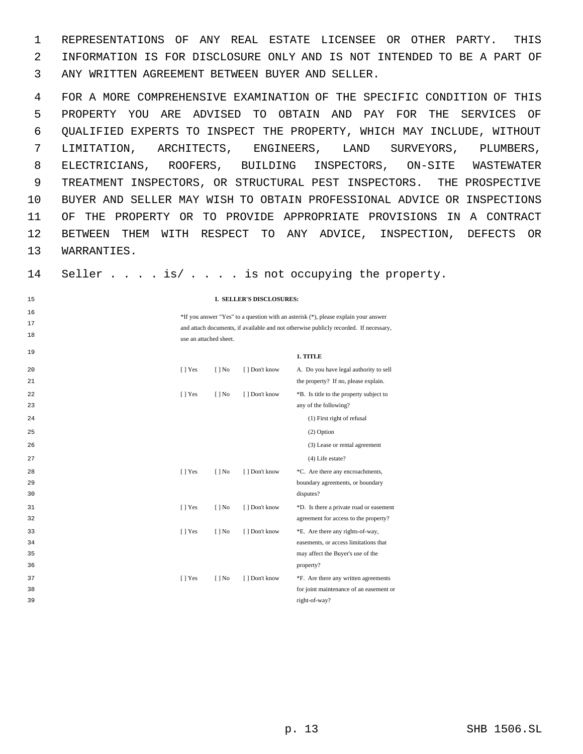REPRESENTATIONS OF ANY REAL ESTATE LICENSEE OR OTHER PARTY. THIS INFORMATION IS FOR DISCLOSURE ONLY AND IS NOT INTENDED TO BE A PART OF ANY WRITTEN AGREEMENT BETWEEN BUYER AND SELLER.

 FOR A MORE COMPREHENSIVE EXAMINATION OF THE SPECIFIC CONDITION OF THIS PROPERTY YOU ARE ADVISED TO OBTAIN AND PAY FOR THE SERVICES OF QUALIFIED EXPERTS TO INSPECT THE PROPERTY, WHICH MAY INCLUDE, WITHOUT LIMITATION, ARCHITECTS, ENGINEERS, LAND SURVEYORS, PLUMBERS, ELECTRICIANS, ROOFERS, BUILDING INSPECTORS, ON-SITE WASTEWATER TREATMENT INSPECTORS, OR STRUCTURAL PEST INSPECTORS. THE PROSPECTIVE BUYER AND SELLER MAY WISH TO OBTAIN PROFESSIONAL ADVICE OR INSPECTIONS OF THE PROPERTY OR TO PROVIDE APPROPRIATE PROVISIONS IN A CONTRACT BETWEEN THEM WITH RESPECT TO ANY ADVICE, INSPECTION, DEFECTS OR WARRANTIES.

Seller . . . . is/ . . . . is not occupying the property.

| 15             | I. SELLER'S DISCLOSURES:                                                                                                                                                                               |          |                |                                                                                |  |  |  |  |
|----------------|--------------------------------------------------------------------------------------------------------------------------------------------------------------------------------------------------------|----------|----------------|--------------------------------------------------------------------------------|--|--|--|--|
| 16<br>17<br>18 | *If you answer "Yes" to a question with an asterisk (*), please explain your answer<br>and attach documents, if available and not otherwise publicly recorded. If necessary,<br>use an attached sheet. |          |                |                                                                                |  |  |  |  |
| 19             |                                                                                                                                                                                                        |          |                | 1. TITLE                                                                       |  |  |  |  |
| 20<br>21       | $[$   Yes                                                                                                                                                                                              | $[$   No | [] Don't know  | A. Do you have legal authority to sell<br>the property? If no, please explain. |  |  |  |  |
| 22<br>23       | $[$   Yes                                                                                                                                                                                              | $[$   No | [ ] Don't know | *B. Is title to the property subject to<br>any of the following?               |  |  |  |  |
| 24             |                                                                                                                                                                                                        |          |                | (1) First right of refusal                                                     |  |  |  |  |
| 25             |                                                                                                                                                                                                        |          |                | $(2)$ Option                                                                   |  |  |  |  |
| 26             |                                                                                                                                                                                                        |          |                | (3) Lease or rental agreement                                                  |  |  |  |  |
| 27             |                                                                                                                                                                                                        |          |                | (4) Life estate?                                                               |  |  |  |  |
| 28             | $[$   Yes                                                                                                                                                                                              | $[$   No | [ ] Don't know | *C. Are there any encroachments,                                               |  |  |  |  |
| 29<br>30       |                                                                                                                                                                                                        |          |                | boundary agreements, or boundary<br>disputes?                                  |  |  |  |  |
| 31             | $[$   Yes                                                                                                                                                                                              | $[$   No | [] Don't know  | *D. Is there a private road or easement                                        |  |  |  |  |
| 32             |                                                                                                                                                                                                        |          |                | agreement for access to the property?                                          |  |  |  |  |
| 33             | $[$   Yes                                                                                                                                                                                              | $[$   No | [ ] Don't know | *E. Are there any rights-of-way,                                               |  |  |  |  |
| 34             |                                                                                                                                                                                                        |          |                | easements, or access limitations that                                          |  |  |  |  |
| 35             |                                                                                                                                                                                                        |          |                | may affect the Buyer's use of the                                              |  |  |  |  |
| 36             |                                                                                                                                                                                                        |          |                | property?                                                                      |  |  |  |  |
| 37             | [] Yes                                                                                                                                                                                                 | $[$   No | [ ] Don't know | *F. Are there any written agreements                                           |  |  |  |  |
| 38             |                                                                                                                                                                                                        |          |                | for joint maintenance of an easement or                                        |  |  |  |  |
| 39             |                                                                                                                                                                                                        |          |                | right-of-way?                                                                  |  |  |  |  |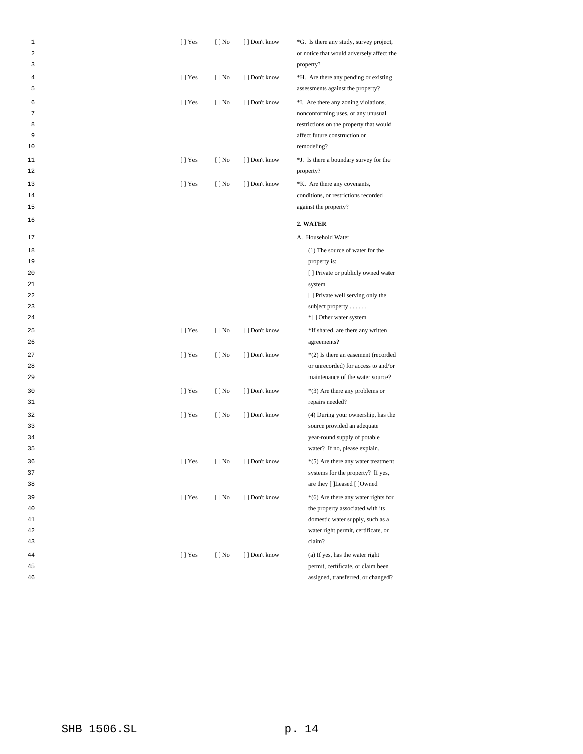| 1<br>2<br>3            | [ ] Yes   | $[ ]$ No | [ ] Don't know | *G. Is there any study, survey project,<br>or notice that would adversely affect the<br>property?                                                                     |
|------------------------|-----------|----------|----------------|-----------------------------------------------------------------------------------------------------------------------------------------------------------------------|
| 4<br>5                 | $[ ]$ Yes | $[ ]$ No | [ ] Don't know | *H. Are there any pending or existing<br>assessments against the property?                                                                                            |
| 6<br>7<br>8<br>9<br>10 | [] Yes    | $[ ]$ No | [ ] Don't know | *I. Are there any zoning violations,<br>nonconforming uses, or any unusual<br>restrictions on the property that would<br>affect future construction or<br>remodeling? |
| 11<br>12               | [] Yes    | $[$   No | [ ] Don't know | *J. Is there a boundary survey for the<br>property?                                                                                                                   |
| 13<br>14<br>15         | [] Yes    | $[ ]$ No | [ ] Don't know | *K. Are there any covenants,<br>conditions, or restrictions recorded<br>against the property?                                                                         |
| 16                     |           |          |                | 2. WATER                                                                                                                                                              |
| 17                     |           |          |                | A. Household Water                                                                                                                                                    |
| 18                     |           |          |                | (1) The source of water for the                                                                                                                                       |
| 19                     |           |          |                | property is:                                                                                                                                                          |
| 20                     |           |          |                | [] Private or publicly owned water                                                                                                                                    |
| 21                     |           |          |                | system                                                                                                                                                                |
| 22                     |           |          |                | [] Private well serving only the                                                                                                                                      |
| 23<br>24               |           |          |                | subject property<br>*[] Other water system                                                                                                                            |
|                        |           |          |                |                                                                                                                                                                       |
| 25<br>26               | $[ ]$ Yes | $[ ]$ No | [ ] Don't know | *If shared, are there any written<br>agreements?                                                                                                                      |
| 27                     | [] Yes    | $[ ]$ No | [ ] Don't know | *(2) Is there an easement (recorded                                                                                                                                   |
| 28                     |           |          |                | or unrecorded) for access to and/or                                                                                                                                   |
| 29                     |           |          |                | maintenance of the water source?                                                                                                                                      |
| 30<br>31               | $[ ]$ Yes | $[ ]$ No | [ ] Don't know | *(3) Are there any problems or<br>repairs needed?                                                                                                                     |
| 32                     | [ ] Yes   | $[ ]$ No | [ ] Don't know | (4) During your ownership, has the                                                                                                                                    |
| 33                     |           |          |                | source provided an adequate                                                                                                                                           |
| 34                     |           |          |                | year-round supply of potable                                                                                                                                          |
| 35                     |           |          |                | water? If no, please explain.                                                                                                                                         |
| 36                     | [ ] Yes   | [ ] No   | [ ] Don't know | *(5) Are there any water treatment                                                                                                                                    |
| 37                     |           |          |                | systems for the property? If yes,                                                                                                                                     |
| 38                     |           |          |                | are they [ ]Leased [ ]Owned                                                                                                                                           |
| 39                     | [ ] Yes   | $[$   No | [ ] Don't know | *(6) Are there any water rights for                                                                                                                                   |
| 40                     |           |          |                | the property associated with its                                                                                                                                      |
| 41                     |           |          |                | domestic water supply, such as a                                                                                                                                      |
| 42<br>43               |           |          |                | water right permit, certificate, or<br>claim?                                                                                                                         |
|                        |           |          |                |                                                                                                                                                                       |
| 44<br>45               | [] Yes    | $[ ]$ No | [ ] Don't know | (a) If yes, has the water right<br>permit, certificate, or claim been                                                                                                 |
| 46                     |           |          |                | assigned, transferred, or changed?                                                                                                                                    |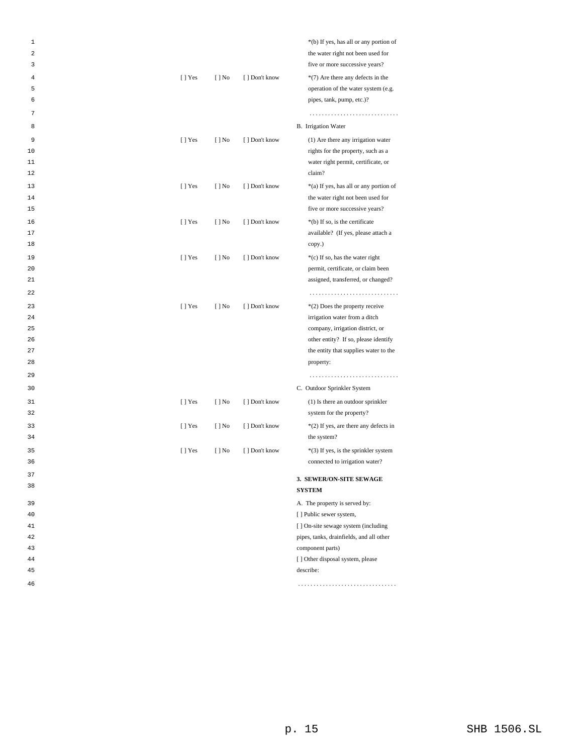| $\mathbf 1$             |           |          |                | *(b) If yes, has all or any portion of                       |
|-------------------------|-----------|----------|----------------|--------------------------------------------------------------|
| $\overline{\mathbf{c}}$ |           |          |                | the water right not been used for                            |
| 3                       |           |          |                | five or more successive years?                               |
| 4                       | $[ ]$ Yes | $[ ]$ No | [ ] Don't know | *(7) Are there any defects in the                            |
| 5                       |           |          |                | operation of the water system (e.g.                          |
| 6                       |           |          |                | pipes, tank, pump, etc.)?                                    |
| 7                       |           |          |                |                                                              |
| 8                       |           |          |                | B. Irrigation Water                                          |
| 9                       | $[ ]$ Yes | $[ ]$ No | [ ] Don't know | (1) Are there any irrigation water                           |
| 10                      |           |          |                | rights for the property, such as a                           |
| 11                      |           |          |                | water right permit, certificate, or                          |
| 12                      |           |          |                | claim?                                                       |
| 13                      | $[ ]$ Yes | $[ ]$ No | [ ] Don't know | *(a) If yes, has all or any portion of                       |
| 14                      |           |          |                | the water right not been used for                            |
| 15                      |           |          |                | five or more successive years?                               |
| 16                      | $[ ]$ Yes | $[ ]$ No | [ ] Don't know | *(b) If so, is the certificate                               |
| 17                      |           |          |                | available? (If yes, please attach a                          |
| 18                      |           |          |                | copy.)                                                       |
| 19                      | $[ ]$ Yes | $[ ]$ No | [ ] Don't know | *(c) If so, has the water right                              |
| 20                      |           |          |                | permit, certificate, or claim been                           |
| 21                      |           |          |                | assigned, transferred, or changed?                           |
| 22                      |           |          |                |                                                              |
| 23                      | $[ ]$ Yes | $[ ]$ No | [ ] Don't know | $*(2)$ Does the property receive                             |
| 24                      |           |          |                | irrigation water from a ditch                                |
| 25                      |           |          |                | company, irrigation district, or                             |
| 26                      |           |          |                | other entity? If so, please identify                         |
| 27                      |           |          |                | the entity that supplies water to the                        |
| 28                      |           |          |                | property:                                                    |
| 29                      |           |          |                |                                                              |
| 30                      |           |          |                | C. Outdoor Sprinkler System                                  |
| 31                      | $[ ]$ Yes | $[ ]$ No | [ ] Don't know | (1) Is there an outdoor sprinkler                            |
| 32                      |           |          |                | system for the property?                                     |
| 33                      | $[ ]$ Yes | $[ ]$ No | [ ] Don't know | *(2) If yes, are there any defects in                        |
| 34                      |           |          |                | the system?                                                  |
| 35                      | $[$   Yes | $[ ]$ No | [ ] Don't know | *(3) If yes, is the sprinkler system                         |
| 36                      |           |          |                | connected to irrigation water?                               |
| 37                      |           |          |                |                                                              |
| 38                      |           |          |                | 3. SEWER/ON-SITE SEWAGE<br><b>SYSTEM</b>                     |
|                         |           |          |                |                                                              |
| 39                      |           |          |                | A. The property is served by:                                |
| 40                      |           |          |                | [ ] Public sewer system,                                     |
| 41                      |           |          |                | [] On-site sewage system (including                          |
| 42                      |           |          |                | pipes, tanks, drainfields, and all other<br>component parts) |
| 43<br>44                |           |          |                | [] Other disposal system, please                             |
| 45                      |           |          |                | describe:                                                    |
|                         |           |          |                |                                                              |
| 46                      |           |          |                |                                                              |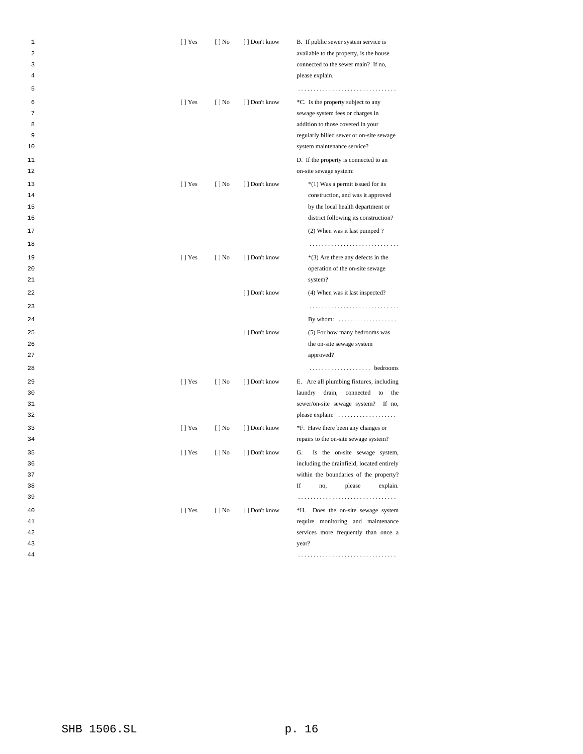| 1<br>2<br>3<br>4<br>5            | $[ ]$ Yes | $[ ]$ No | [ ] Don't know | B. If public sewer system service is<br>available to the property, is the house<br>connected to the sewer main? If no,<br>please explain.                                              |
|----------------------------------|-----------|----------|----------------|----------------------------------------------------------------------------------------------------------------------------------------------------------------------------------------|
| 6<br>7<br>8<br>9<br>10           | $[ ]$ Yes | $[ ]$ No | [ ] Don't know | *C. Is the property subject to any<br>sewage system fees or charges in<br>addition to those covered in your<br>regularly billed sewer or on-site sewage<br>system maintenance service? |
| 11<br>12                         |           |          |                | D. If the property is connected to an<br>on-site sewage system:                                                                                                                        |
| 13<br>14<br>15<br>16<br>17<br>18 | $[ ]$ Yes | $[ ]$ No | [ ] Don't know | *(1) Was a permit issued for its<br>construction, and was it approved<br>by the local health department or<br>district following its construction?<br>(2) When was it last pumped?     |
| 19<br>20<br>21                   | $[$   Yes | $[ ]$ No | [ ] Don't know | $*(3)$ Are there any defects in the<br>operation of the on-site sewage<br>system?                                                                                                      |
| 22<br>23<br>24                   |           |          | [ ] Don't know | (4) When was it last inspected?<br>By whom: $\dots\dots\dots\dots\dots\dots$                                                                                                           |
| 25<br>26<br>27                   |           |          | [ ] Don't know | (5) For how many bedrooms was<br>the on-site sewage system<br>approved?                                                                                                                |
| 28<br>29<br>30<br>31<br>32       | $[ ]$ Yes | $[ ]$ No | [ ] Don't know | E. Are all plumbing fixtures, including<br>drain, connected to<br>laundry<br>the<br>sewer/on-site sewage system? If no,<br>please explain:                                             |
| 33<br>34                         | $[ ]$ Yes | $[ ]$ No | [ ] Don't know | *F. Have there been any changes or<br>repairs to the on-site sewage system?                                                                                                            |
| 35<br>36<br>37<br>38<br>39       | $[$   Yes | $[ ]$ No | [ ] Don't know | Is the on-site sewage system,<br>G.<br>including the drainfield, located entirely<br>within the boundaries of the property?<br>If<br>no,<br>please<br>explain.                         |
| 40<br>41<br>42<br>43<br>44       | $[ ]$ Yes | $[ ]$ No | [ ] Don't know | *H. Does the on-site sewage system<br>require monitoring and maintenance<br>services more frequently than once a<br>year?                                                              |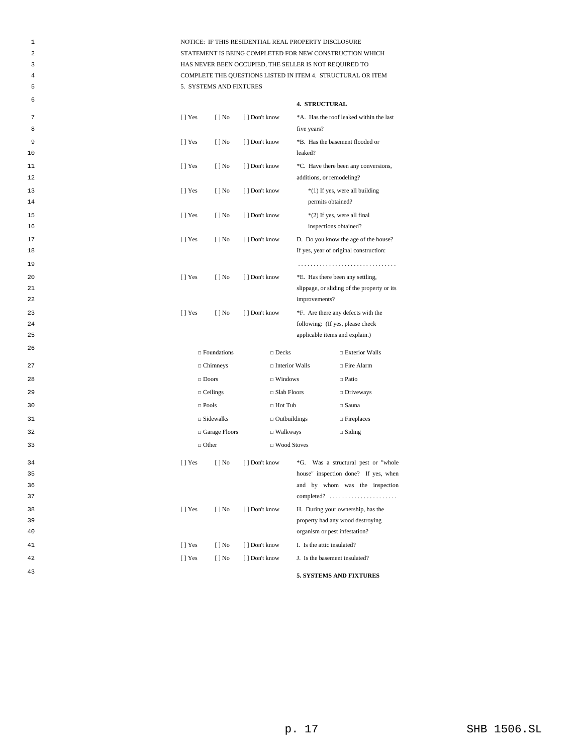| 1<br>2<br>3<br>4<br>5 | NOTICE: IF THIS RESIDENTIAL REAL PROPERTY DISCLOSURE<br>STATEMENT IS BEING COMPLETED FOR NEW CONSTRUCTION WHICH<br>HAS NEVER BEEN OCCUPIED, THE SELLER IS NOT REQUIRED TO<br>COMPLETE THE QUESTIONS LISTED IN ITEM 4. STRUCTURAL OR ITEM<br>5. SYSTEMS AND FIXTURES |                      |                    |                       |                                  |                                                                                |  |  |  |
|-----------------------|---------------------------------------------------------------------------------------------------------------------------------------------------------------------------------------------------------------------------------------------------------------------|----------------------|--------------------|-----------------------|----------------------------------|--------------------------------------------------------------------------------|--|--|--|
| 6                     |                                                                                                                                                                                                                                                                     |                      |                    |                       | <b>4. STRUCTURAL</b>             |                                                                                |  |  |  |
| 7<br>8                | $[ ]$ Yes                                                                                                                                                                                                                                                           | $[ ]$ No             | [ ] Don't know     |                       | five years?                      | *A. Has the roof leaked within the last                                        |  |  |  |
| 9<br>10               | $[ ]$ Yes                                                                                                                                                                                                                                                           | $[ ]$ No             | [ ] Don't know     |                       | leaked?                          | *B. Has the basement flooded or                                                |  |  |  |
| 11<br>12              | $\lceil$   Yes                                                                                                                                                                                                                                                      | $[ ]$ No             | [ ] Don't know     |                       | additions, or remodeling?        | *C. Have there been any conversions,                                           |  |  |  |
| 13<br>14              | $\lceil$   Yes                                                                                                                                                                                                                                                      | $[ ]$ No             | [ ] Don't know     |                       | permits obtained?                | *(1) If yes, were all building                                                 |  |  |  |
| 15<br>16              | $[ ]$ Yes                                                                                                                                                                                                                                                           | $[ ]$ No             | [ ] Don't know     |                       | inspections obtained?            | *(2) If yes, were all final                                                    |  |  |  |
| 17<br>18              | $\lceil$   Yes                                                                                                                                                                                                                                                      | $[ ]$ No             | [ ] Don't know     |                       |                                  | D. Do you know the age of the house?<br>If yes, year of original construction: |  |  |  |
| 19                    |                                                                                                                                                                                                                                                                     |                      |                    |                       |                                  |                                                                                |  |  |  |
| 20                    | $[ ]$ Yes                                                                                                                                                                                                                                                           | $[ ]$ No             | [ ] Don't know     |                       | *E. Has there been any settling, |                                                                                |  |  |  |
| 21                    |                                                                                                                                                                                                                                                                     |                      |                    |                       |                                  | slippage, or sliding of the property or its                                    |  |  |  |
| 22                    |                                                                                                                                                                                                                                                                     |                      |                    |                       | improvements?                    |                                                                                |  |  |  |
| 23                    | $[ ]$ Yes                                                                                                                                                                                                                                                           | $[ ]$ No             | [ ] Don't know     |                       |                                  | *F. Are there any defects with the                                             |  |  |  |
| 24                    |                                                                                                                                                                                                                                                                     |                      |                    |                       | following: (If yes, please check |                                                                                |  |  |  |
| 25                    |                                                                                                                                                                                                                                                                     |                      |                    |                       | applicable items and explain.)   |                                                                                |  |  |  |
| 26                    |                                                                                                                                                                                                                                                                     | $\Box$ Foundations   |                    | $\Box$ Decks          |                                  | $\Box$ Exterior Walls                                                          |  |  |  |
| 27                    |                                                                                                                                                                                                                                                                     | $\Box$ Chimneys      |                    | $\Box$ Interior Walls |                                  | $\Box$ Fire Alarm                                                              |  |  |  |
| 28                    | $\Box$ Doors                                                                                                                                                                                                                                                        |                      | $\Box$ Windows     |                       |                                  | $\Box$ Patio                                                                   |  |  |  |
| 29                    | $\Box$ Ceilings                                                                                                                                                                                                                                                     |                      | $\Box$ Slab Floors |                       |                                  | $\Box$ Driveways                                                               |  |  |  |
| 30                    | $\Box$ Pools                                                                                                                                                                                                                                                        |                      | $\Box$ Hot Tub     |                       |                                  | $\Box$ Sauna                                                                   |  |  |  |
| 31                    |                                                                                                                                                                                                                                                                     | $\Box$ Sidewalks     |                    | $\Box$ Outbuildings   |                                  | $\Box$ Fireplaces                                                              |  |  |  |
| 32                    |                                                                                                                                                                                                                                                                     | $\Box$ Garage Floors |                    | $\Box$ Walkways       |                                  | $\Box$ Siding                                                                  |  |  |  |
| 33                    | $\Box$ Other                                                                                                                                                                                                                                                        |                      |                    | $\Box$ Wood Stoves    |                                  |                                                                                |  |  |  |
| 34                    | $[ ]$ Yes                                                                                                                                                                                                                                                           | $[ ]$ No             | [ ] Don't know     |                       |                                  | *G. Was a structural pest or "whole                                            |  |  |  |
| 35                    |                                                                                                                                                                                                                                                                     |                      |                    |                       |                                  | house" inspection done? If yes, when                                           |  |  |  |
| 36                    |                                                                                                                                                                                                                                                                     |                      |                    |                       |                                  | and by whom was the inspection                                                 |  |  |  |
| 37                    |                                                                                                                                                                                                                                                                     |                      |                    |                       |                                  | completed?                                                                     |  |  |  |
| 38                    | $[ ]$ Yes                                                                                                                                                                                                                                                           | $[ ]$ No             | [ ] Don't know     |                       |                                  | H. During your ownership, has the                                              |  |  |  |
| 39<br>40              |                                                                                                                                                                                                                                                                     |                      |                    |                       |                                  | property had any wood destroying                                               |  |  |  |
|                       | $[ ]$ Yes                                                                                                                                                                                                                                                           |                      | [] Don't know      |                       | organism or pest infestation?    |                                                                                |  |  |  |
| 41                    |                                                                                                                                                                                                                                                                     | $[ ]$ No             |                    |                       | I. Is the attic insulated?       |                                                                                |  |  |  |
| 42                    | [ ] Yes                                                                                                                                                                                                                                                             | $[ ]$ No             | [ ] Don't know     |                       | J. Is the basement insulated?    |                                                                                |  |  |  |
| 43                    |                                                                                                                                                                                                                                                                     |                      |                    |                       |                                  | <b>5. SYSTEMS AND FIXTURES</b>                                                 |  |  |  |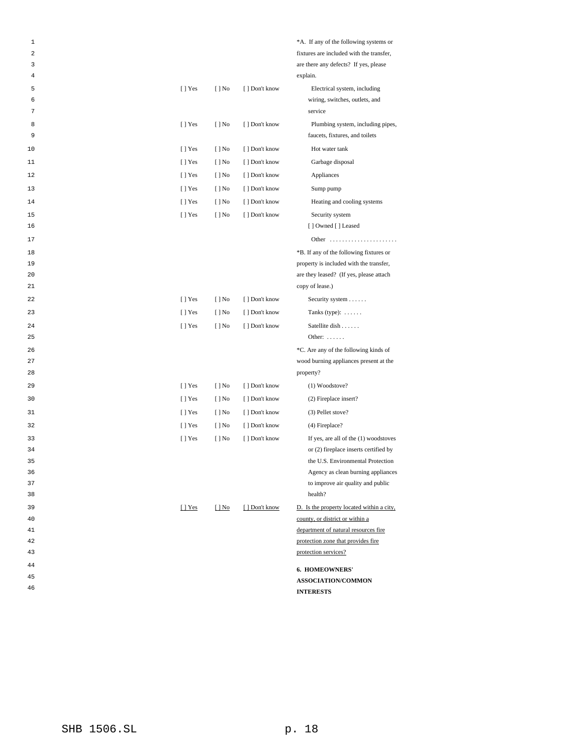| 1        |            |           |                | *A. If any of the following systems or                                             |
|----------|------------|-----------|----------------|------------------------------------------------------------------------------------|
| 2        |            |           |                | fixtures are included with the transfer,                                           |
| 3        |            |           |                | are there any defects? If yes, please                                              |
| 4        |            |           |                | explain.                                                                           |
| 5        | [ ] Yes    | $[ ]$ No  | [ ] Don't know | Electrical system, including                                                       |
| 6<br>7   |            |           |                | wiring, switches, outlets, and<br>service                                          |
|          |            |           |                |                                                                                    |
| 8<br>9   | $[ ]$ Yes  | $[ ]$ No  | [ ] Don't know | Plumbing system, including pipes,<br>faucets, fixtures, and toilets                |
| 10       | [] Yes     | $[ ]$ No  | [ ] Don't know | Hot water tank                                                                     |
| 11       | $[ ]$ Yes  | $[ ]$ No  | [ ] Don't know | Garbage disposal                                                                   |
|          |            |           |                |                                                                                    |
| 12       | $[ ]$ Yes  | $[ ]$ No  | [ ] Don't know | Appliances                                                                         |
| 13       | $[ ]$ Yes  | $[ ]$ No  | [ ] Don't know | Sump pump                                                                          |
| 14       | [ ] Yes    | $[ ]$ No  | [ ] Don't know | Heating and cooling systems                                                        |
| 15       | [ ] Yes    | $[ ]$ No  | [ ] Don't know | Security system                                                                    |
| 16       |            |           |                | [] Owned [] Leased                                                                 |
| 17       |            |           |                | Other                                                                              |
| 18       |            |           |                | *B. If any of the following fixtures or                                            |
| 19<br>20 |            |           |                | property is included with the transfer,<br>are they leased? (If yes, please attach |
| 21       |            |           |                | copy of lease.)                                                                    |
| 22       | $[ ]$ Yes  | $[ ]$ No  | [ ] Don't know | Security system                                                                    |
| 23       | $[ ]$ Yes  | $[ ]$ No  | [ ] Don't know | Tanks (type): $\dots$ .                                                            |
| 24       | $[ ]$ Yes  | $[ ]$ No  | [ ] Don't know | Satellite dish                                                                     |
| 25       |            |           |                | Other: $\dots$ .                                                                   |
| 26       |            |           |                | *C. Are any of the following kinds of                                              |
| 27       |            |           |                | wood burning appliances present at the                                             |
| 28       |            |           |                | property?                                                                          |
| 29       | $[ ]$ Yes  | $[ ]$ No  | [ ] Don't know | (1) Woodstove?                                                                     |
| 30       | $[ ]$ Yes  | $[ ]$ No  | [ ] Don't know | (2) Fireplace insert?                                                              |
| 31       | [ ] Yes    | $[ ]$ No  | [ ] Don't know | (3) Pellet stove?                                                                  |
| 32       | [ ] Yes    | $[ ]$ No  | [ ] Don't know | (4) Fireplace?                                                                     |
| 33       | [ ] Yes    | $[ ]$ No  | [ ] Don't know | If yes, are all of the (1) woodstoves                                              |
| 34       |            |           |                | or (2) fireplace inserts certified by                                              |
| 35       |            |           |                | the U.S. Environmental Protection                                                  |
| 36       |            |           |                | Agency as clean burning appliances                                                 |
| 37<br>38 |            |           |                | to improve air quality and public<br>health?                                       |
|          |            |           |                | D. Is the property located within a city,                                          |
| 39<br>40 | $\Box$ Yes | $\Box$ No | [] Don't know  | county, or district or within a                                                    |
| 41       |            |           |                | department of natural resources fire                                               |
| 42       |            |           |                | protection zone that provides fire                                                 |
| 43       |            |           |                | protection services?                                                               |
| 44       |            |           |                | <b>6. HOMEOWNERS'</b>                                                              |
| 45       |            |           |                | <b>ASSOCIATION/COMMON</b>                                                          |
| 46       |            |           |                | <b>INTERESTS</b>                                                                   |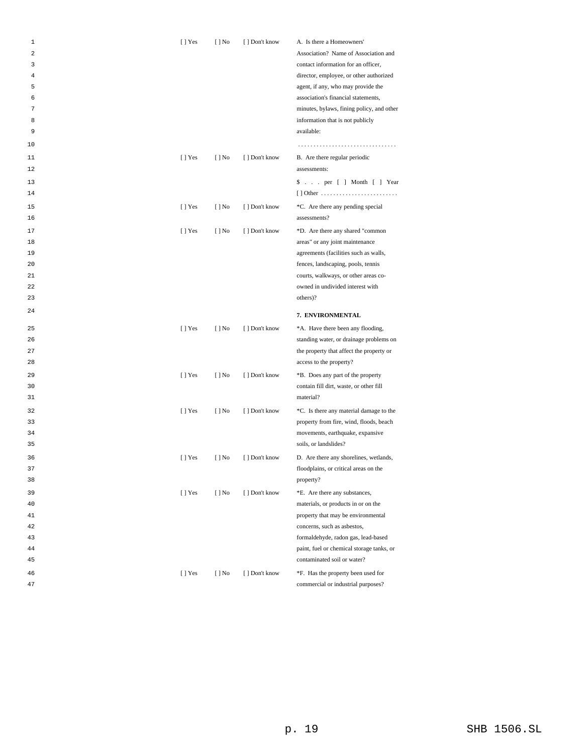| 1<br>2<br>3<br>4<br>5<br>6<br>7<br>8<br>9<br>10 | [] Yes    | $[ ]$ No                 | [ ] Don't know | A. Is there a Homeowners'<br>Association? Name of Association and<br>contact information for an officer,<br>director, employee, or other authorized<br>agent, if any, who may provide the<br>association's financial statements,<br>minutes, bylaws, fining policy, and other<br>information that is not publicly<br>available: |
|-------------------------------------------------|-----------|--------------------------|----------------|---------------------------------------------------------------------------------------------------------------------------------------------------------------------------------------------------------------------------------------------------------------------------------------------------------------------------------|
| 11<br>12<br>13<br>14                            | $[$   Yes | $[ ]$ No                 | [ ] Don't know | B. Are there regular periodic<br>assessments:<br>\$ per [ ] Month [ ] Year<br>$[ ]$ Other                                                                                                                                                                                                                                       |
| 15<br>16                                        | $[$   Yes | $\lceil \cdot \rceil$ No | [ ] Don't know | *C. Are there any pending special<br>assessments?                                                                                                                                                                                                                                                                               |
| 17<br>18<br>19<br>20<br>21<br>22<br>23          | $[ ]$ Yes | $[ ]$ No                 | [ ] Don't know | *D. Are there any shared "common<br>areas" or any joint maintenance<br>agreements (facilities such as walls,<br>fences, landscaping, pools, tennis<br>courts, walkways, or other areas co-<br>owned in undivided interest with<br>others)?                                                                                      |
| 24                                              |           |                          |                | 7. ENVIRONMENTAL                                                                                                                                                                                                                                                                                                                |
| 25<br>26<br>27<br>28                            | $[ ]$ Yes | $[ ]$ No                 | [ ] Don't know | *A. Have there been any flooding,<br>standing water, or drainage problems on<br>the property that affect the property or<br>access to the property?                                                                                                                                                                             |
| 29<br>30<br>31                                  | $[ ]$ Yes | $[ ]$ No                 | [ ] Don't know | *B. Does any part of the property<br>contain fill dirt, waste, or other fill<br>material?                                                                                                                                                                                                                                       |
| 32<br>33<br>34<br>35                            | $[ ]$ Yes | $[$   No                 | [ ] Don't know | *C. Is there any material damage to the<br>property from fire, wind, floods, beach<br>movements, earthquake, expansive<br>soils, or landslides?                                                                                                                                                                                 |
| 36<br>37<br>38                                  | $[ ]$ Yes | $[ ]$ No                 | [ ] Don't know | D. Are there any shorelines, wetlands,<br>floodplains, or critical areas on the<br>property?                                                                                                                                                                                                                                    |
| 39<br>40<br>41<br>42<br>43<br>44<br>45          | [ ] Yes   | $[ ]$ No                 | [ ] Don't know | *E. Are there any substances,<br>materials, or products in or on the<br>property that may be environmental<br>concerns, such as asbestos,<br>formaldehyde, radon gas, lead-based<br>paint, fuel or chemical storage tanks, or<br>contaminated soil or water?                                                                    |
| 46<br>47                                        | $[ ]$ Yes | $[ ]$ No                 | [ ] Don't know | *F. Has the property been used for<br>commercial or industrial purposes?                                                                                                                                                                                                                                                        |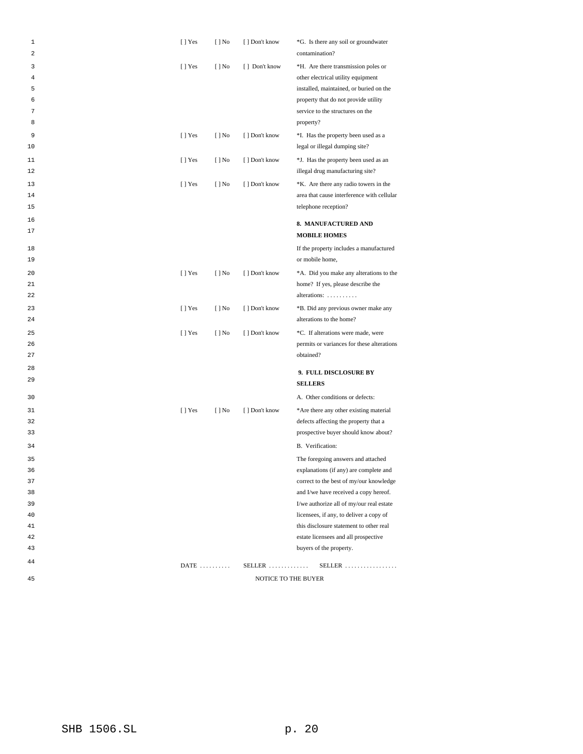| $1\,$<br>2                 | $[ ]$ Yes | $[ ]$ No | [ ] Don't know | *G. Is there any soil or groundwater<br>contamination?                                                                                                                                                        |
|----------------------------|-----------|----------|----------------|---------------------------------------------------------------------------------------------------------------------------------------------------------------------------------------------------------------|
| 3<br>4<br>5<br>6<br>7<br>8 | [] Yes    | $[ ]$ No | [] Don't know  | *H. Are there transmission poles or<br>other electrical utility equipment<br>installed, maintained, or buried on the<br>property that do not provide utility<br>service to the structures on the<br>property? |
| 9<br>10                    | [] Yes    | $[ ]$ No | [ ] Don't know | *I. Has the property been used as a<br>legal or illegal dumping site?                                                                                                                                         |
| 11<br>12                   | $[$   Yes | $[ ]$ No | [ ] Don't know | *J. Has the property been used as an<br>illegal drug manufacturing site?                                                                                                                                      |
| 13<br>14<br>15             | [] Yes    | $[ ]$ No | [ ] Don't know | *K. Are there any radio towers in the<br>area that cause interference with cellular<br>telephone reception?                                                                                                   |
| 16<br>17                   |           |          |                | 8. MANUFACTURED AND<br><b>MOBILE HOMES</b>                                                                                                                                                                    |
| 18<br>19                   |           |          |                | If the property includes a manufactured<br>or mobile home,                                                                                                                                                    |
| 20<br>21<br>22             | [] Yes    | $[ ]$ No | [ ] Don't know | *A. Did you make any alterations to the<br>home? If yes, please describe the<br>alterations:                                                                                                                  |
| 23<br>24                   | [] Yes    | $[ ]$ No | [ ] Don't know | *B. Did any previous owner make any<br>alterations to the home?                                                                                                                                               |
| 25<br>26<br>27             | [] Yes    | $[ ]$ No | [ ] Don't know | *C. If alterations were made, were<br>permits or variances for these alterations<br>obtained?                                                                                                                 |
| 28<br>29                   |           |          |                | 9. FULL DISCLOSURE BY<br><b>SELLERS</b>                                                                                                                                                                       |
| 30                         |           |          |                | A. Other conditions or defects:                                                                                                                                                                               |
| 31<br>32<br>33             | [] Yes    | $[$   No | [ ] Don't know | *Are there any other existing material<br>defects affecting the property that a<br>prospective buyer should know about?                                                                                       |
| 34                         |           |          |                | B. Verification:                                                                                                                                                                                              |
| 35                         |           |          |                | The foregoing answers and attached                                                                                                                                                                            |
| 36                         |           |          |                | explanations (if any) are complete and                                                                                                                                                                        |
| 37                         |           |          |                | correct to the best of my/our knowledge                                                                                                                                                                       |
| 38                         |           |          |                | and I/we have received a copy hereof.                                                                                                                                                                         |
| 39                         |           |          |                | I/we authorize all of my/our real estate                                                                                                                                                                      |
| 40<br>41                   |           |          |                | licensees, if any, to deliver a copy of<br>this disclosure statement to other real                                                                                                                            |
| 42                         |           |          |                | estate licensees and all prospective                                                                                                                                                                          |
| 43                         |           |          |                | buyers of the property.                                                                                                                                                                                       |
| 44                         |           |          |                |                                                                                                                                                                                                               |
| 45                         | DATE      |          | $SELLER$       | $SELECT R$<br>NOTICE TO THE BUYER                                                                                                                                                                             |
|                            |           |          |                |                                                                                                                                                                                                               |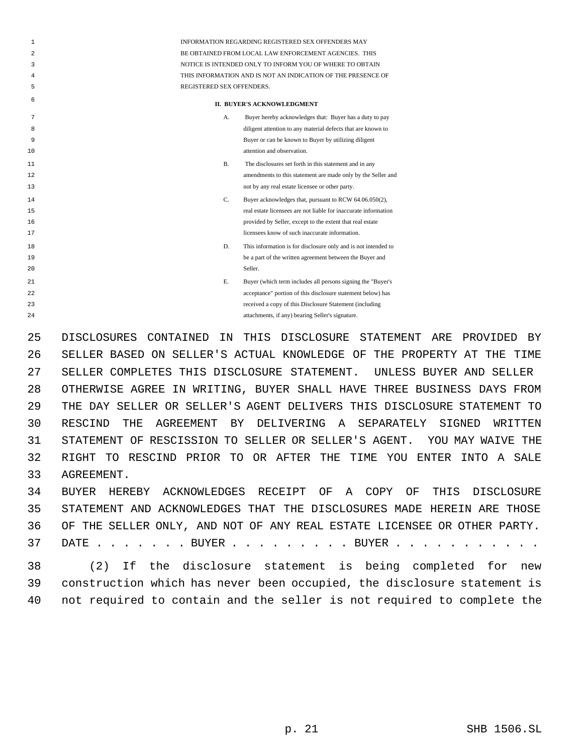| $\mathbf{1}$ |                           | INFORMATION REGARDING REGISTERED SEX OFFENDERS MAY              |
|--------------|---------------------------|-----------------------------------------------------------------|
| 2            |                           | BE OBTAINED FROM LOCAL LAW ENFORCEMENT AGENCIES. THIS           |
| 3            |                           | NOTICE IS INTENDED ONLY TO INFORM YOU OF WHERE TO OBTAIN        |
| 4            |                           | THIS INFORMATION AND IS NOT AN INDICATION OF THE PRESENCE OF    |
| 5            | REGISTERED SEX OFFENDERS. |                                                                 |
| 6            |                           | II. BUYER'S ACKNOWLEDGMENT                                      |
| 7            | A.                        | Buyer hereby acknowledges that: Buyer has a duty to pay         |
| 8            |                           | diligent attention to any material defects that are known to    |
| 9            |                           | Buyer or can be known to Buyer by utilizing diligent            |
| 10           |                           | attention and observation.                                      |
| 11           | <b>B.</b>                 | The disclosures set forth in this statement and in any          |
| 12           |                           | amendments to this statement are made only by the Seller and    |
| 13           |                           | not by any real estate licensee or other party.                 |
| 14           | C.                        | Buyer acknowledges that, pursuant to RCW 64.06.050(2),          |
| 15           |                           | real estate licensees are not liable for inaccurate information |
| 16           |                           | provided by Seller, except to the extent that real estate       |
| 17           |                           | licensees know of such inaccurate information.                  |
| 18           | D.                        | This information is for disclosure only and is not intended to  |
| 19           |                           | be a part of the written agreement between the Buyer and        |
| 20           |                           | Seller.                                                         |
| 21           | Е.                        | Buyer (which term includes all persons signing the "Buyer's     |
| 2.2.         |                           | acceptance" portion of this disclosure statement below) has     |
| 23           |                           | received a copy of this Disclosure Statement (including         |
| 24           |                           | attachments, if any) bearing Seller's signature.                |

 DISCLOSURES CONTAINED IN THIS DISCLOSURE STATEMENT ARE PROVIDED BY SELLER BASED ON SELLER'S ACTUAL KNOWLEDGE OF THE PROPERTY AT THE TIME SELLER COMPLETES THIS DISCLOSURE STATEMENT. UNLESS BUYER AND SELLER OTHERWISE AGREE IN WRITING, BUYER SHALL HAVE THREE BUSINESS DAYS FROM THE DAY SELLER OR SELLER'S AGENT DELIVERS THIS DISCLOSURE STATEMENT TO RESCIND THE AGREEMENT BY DELIVERING A SEPARATELY SIGNED WRITTEN STATEMENT OF RESCISSION TO SELLER OR SELLER'S AGENT. YOU MAY WAIVE THE RIGHT TO RESCIND PRIOR TO OR AFTER THE TIME YOU ENTER INTO A SALE AGREEMENT.

 BUYER HEREBY ACKNOWLEDGES RECEIPT OF A COPY OF THIS DISCLOSURE STATEMENT AND ACKNOWLEDGES THAT THE DISCLOSURES MADE HEREIN ARE THOSE OF THE SELLER ONLY, AND NOT OF ANY REAL ESTATE LICENSEE OR OTHER PARTY.

DATE . . . . . . . BUYER . . . . . . . . . BUYER . . . . . . . . . . .

 (2) If the disclosure statement is being completed for new construction which has never been occupied, the disclosure statement is not required to contain and the seller is not required to complete the